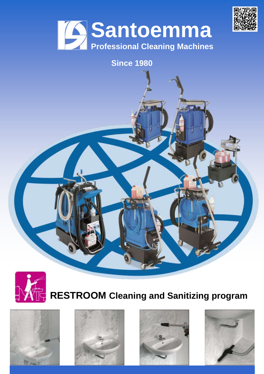



#### **Since 1980**



# **RESTROOM Cleaning and Sanitizing program**







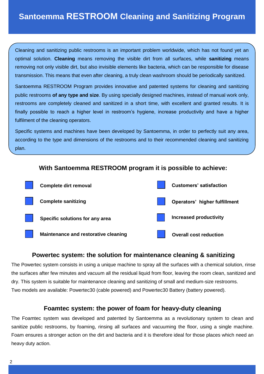Cleaning and sanitizing public restrooms is an important problem worldwide, which has not found yet an optimal solution. **Cleaning** means removing the visible dirt from all surfaces, while **sanitizing** means removing not only visible dirt, but also invisible elements like bacteria, which can be responsible for disease transmission. This means that even after cleaning, a truly clean washroom should be periodically sanitized.

Santoemma RESTROOM Program provides innovative and patented systems for cleaning and sanitizing public restrooms **of any type and size**. By using specially designed machines, instead of manual work only, restrooms are completely cleaned and sanitized in a short time, with excellent and granted results. It is finally possible to reach a higher level in restroom's hygiene, increase productivity and have a higher fulfilment of the cleaning operators.

Specific systems and machines have been developed by Santoemma, in order to perfectly suit any area, according to the type and dimensions of the restrooms and to their recommended cleaning and sanitizing plan.

#### **With Santoemma RESTROOM program it is possible to achieve:**



#### **Powertec system: the solution for maintenance cleaning & sanitizing**

The Powertec system consists in using a unique machine to spray all the surfaces with a chemical solution, rinse the surfaces after few minutes and vacuum all the residual liquid from floor, leaving the room clean, sanitized and dry. This system is suitable for maintenance cleaning and sanitizing of small and medium-size restrooms. Two models are available: Powertec30 (cable powered) and Powertec30 Battery (battery powered).

#### **Foamtec system: the power of foam for heavy-duty cleaning**

The Foamtec system was developed and patented by Santoemma as a revolutionary system to clean and sanitize public restrooms, by foaming, rinsing all surfaces and vacuuming the floor, using a single machine. Foam ensures a stronger action on the dirt and bacteria and it is therefore ideal for those places which need an heavy duty action.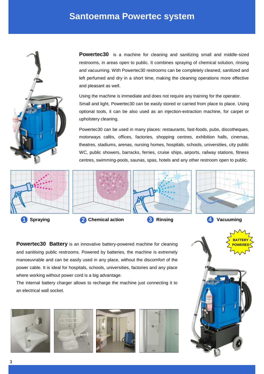#### **Santoemma Powertec system**



**Powertec30** is a machine for cleaning and sanitizing small and middle-sized restrooms, in areas open to public. It combines spraying of chemical solution, rinsing and vacuuming. With Powertec30 restrooms can be completely cleaned, sanitized and left perfumed and dry in a short time, making the cleaning operations more effective and pleasant as well.

Using the machine is immediate and does not require any training for the operator. Small and light, Powertec30 can be easily stored or carried from place to place. Using optional tools, it can be also used as an injection-extraction machine, for carpet or upholstery cleaning.

Powertec30 can be used in many places: restaurants, fast-foods, pubs, discotheques, motorways cafés, offices, factories, shopping centres, exhibition halls, cinemas, theatres, stadiums, arenas, nursing homes, hospitals, schools, universities, city public WC, public showers, barracks, ferries, cruise ships, airports, railway stations, fitness centres, swimming-pools, saunas, spas, hotels and any other restroom open to public.



**Powertec30 Battery** is an innovative battery-powered machine for cleaning and sanitising public restrooms. Powered by batteries, the machine is extremely manoeuvrable and can be easily used in any place, without the discomfort of the power cable. It is ideal for hospitals, schools, universities, factories and any place where working without power cord is a big advantage.

The internal battery charger allows to recharge the machine just connecting it to an electrical wall socket.









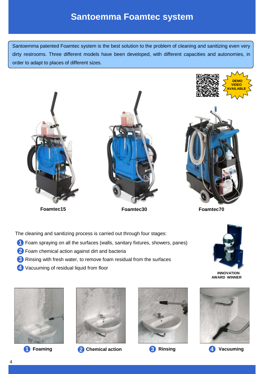### **Santoemma Foamtec system**

Santoemma patented Foamtec system is the best solution to the problem of cleaning and sanitizing even very dirty restrooms. Three different models have been developed, with different capacities and autonomies, in order to adapt to places of different sizes.



**Foamtec15 Foamtec30 Foamtec70**

The cleaning and sanitizing process is carried out through four stages:

- Foam spraying on all the surfaces (walls, sanitary fixtures, showers, panes) **<sup>1</sup>**
- 2 Foam chemical action against dirt and bacteria
- 8 Rinsing with fresh water, to remove foam residual from the surfaces
- Vacuuming of residual liquid from floor **<sup>4</sup>**







**<sup>1</sup> Foaming 2 Chemical action <sup>3</sup> Rinsing <sup>4</sup> Vacuuming**





**INNOVATION AWARD WINNER**



4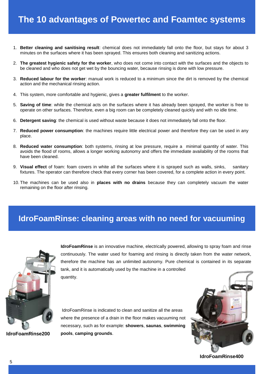- 1. **Better cleaning and sanitising result**: chemical does not immediately fall onto the floor, but stays for about 3 minutes on the surfaces where it has been sprayed. This ensures both cleaning and sanitizing actions.
- 2. **The greatest hygienic safety for the worker**, who does not come into contact with the surfaces and the objects to be cleaned and who does not get wet by the bouncing water, because rinsing is done with low pressure.
- 3. **Reduced labour for the worker**: manual work is reduced to a minimum since the dirt is removed by the chemical action and the mechanical rinsing action.
- 4. This system, more comfortable and hygienic, gives a **greater fulfilment** to the worker.
- 5. **Saving of time**: while the chemical acts on the surfaces where it has already been sprayed, the worker is free to operate on other surfaces. Therefore, even a big room can be completely cleaned quickly and with no idle time.
- 6. **Detergent saving**: the chemical is used without waste because it does not immediately fall onto the floor.
- 7. **Reduced power consumption**: the machines require little electrical power and therefore they can be used in any place.
- 8. **Reduced water consumption**: both systems, rinsing at low pressure, require a minimal quantity of water. This avoids the flood of rooms, allows a longer working autonomy and offers the immediate availability of the rooms that have been cleaned.
- 9. **Visual effect** of foam: foam covers in white all the surfaces where it is sprayed such as walls, sinks, sanitary fixtures. The operator can therefore check that every corner has been covered, for a complete action in every point.
- 10. The machines can be used also in **places with no drains** because they can completely vacuum the water remaining on the floor after rinsing.

#### **IdroFoamRinse: cleaning areas with no need for vacuuming**



**IdroFoamRinse** is an innovative machine, electrically powered, allowing to spray foam and rinse continuously. The water used for foaming and rinsing is directly taken from the water network, therefore the machine has an unlimited autonomy. Pure chemical is contained in its separate tank, and it is automatically used by the machine in a controlled quantity.

**IdroFoamRinse200**

IdroFoamRinse is indicated to clean and sanitize all the areas where the presence of a drain in the floor makes vacuuming not necessary, such as for example: **showers**, **saunas**, **swimming pools**, **camping grounds**.



**IdroFoamRinse400**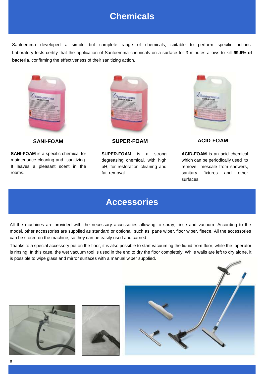## **Chemicals**

Santoemma developed a simple but complete range of chemicals, suitable to perform specific actions. Laboratory tests certify that the application of Santoemma chemicals on a surface for 3 minutes allows to kill **99,9% of bacteria**, confirming the effectiveness of their sanitizing action.



**SANI-FOAM** is a specific chemical for maintenance cleaning and sanitizing. It leaves a pleasant scent in the rooms.



**SANI-FOAM SUPER-FOAM ACID-FOAM**

**SUPER-FOAM** is a strong degreasing chemical, with high pH, for restoration cleaning and fat removal.



**ACID-FOAM** is an acid chemical which can be periodically used to remove limescale from showers, sanitary fixtures and other surfaces.

#### **Accessories**

All the machines are provided with the necessary accessories allowing to spray, rinse and vacuum. According to the model, other accessories are supplied as standard or optional, such as: pane wiper, floor wiper, fleece. All the accessories can be stored on the machine, so they can be easily used and carried.

Thanks to a special accessory put on the floor, it is also possible to start vacuuming the liquid from floor, while the operator is rinsing. In this case, the wet vacuum tool is used in the end to dry the floor completely. While walls are left to dry alone, it is possible to wipe glass and mirror surfaces with a manual wiper supplied.





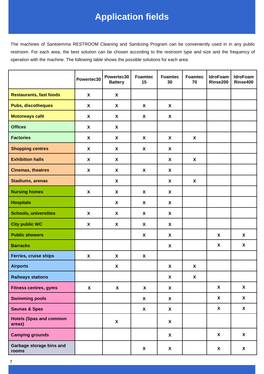# **Application fields**

The machines of Santoemma RESTROOM Cleaning and Sanitizing Program can be conveniently used in in any public restroom. For each area, the best solution can be chosen according to the restroom type and size and the frequency of operation with the machine. The following table shows the possible solutions for each area:

|                                          | Powertec30                | Powertec30<br><b>Battery</b> | Foamtec<br>15             | Foamtec<br>30             | <b>Foamtec</b><br>70 | <b>IdroFoam</b><br>Rinse200 | <b>IdroFoam</b><br>Rinse400 |
|------------------------------------------|---------------------------|------------------------------|---------------------------|---------------------------|----------------------|-----------------------------|-----------------------------|
| <b>Restaurants, fast foods</b>           | $\mathsf{X}$              | $\boldsymbol{\mathsf{X}}$    |                           |                           |                      |                             |                             |
| <b>Pubs, discotheques</b>                | X                         | X                            | X                         | X                         |                      |                             |                             |
| Motorways café                           | X                         | X                            | X                         | X                         |                      |                             |                             |
| <b>Offices</b>                           | X                         | X                            |                           |                           |                      |                             |                             |
| <b>Factories</b>                         | X                         | X                            | $\boldsymbol{\mathsf{X}}$ | $\boldsymbol{\mathsf{X}}$ | X                    |                             |                             |
| <b>Shopping centres</b>                  | X                         | X                            | X                         | X                         |                      |                             |                             |
| <b>Exhibition halls</b>                  | X                         | X                            |                           | X                         | X                    |                             |                             |
| <b>Cinemas, theatres</b>                 | $\boldsymbol{\mathsf{X}}$ | X                            | $\boldsymbol{\mathsf{X}}$ | X                         |                      |                             |                             |
| <b>Stadiums, arenas</b>                  |                           | X                            |                           | X                         | X                    |                             |                             |
| <b>Nursing homes</b>                     | $\boldsymbol{\mathsf{X}}$ | $\boldsymbol{\mathsf{X}}$    | $\boldsymbol{\mathsf{X}}$ | $\boldsymbol{\mathsf{X}}$ |                      |                             |                             |
| <b>Hospitals</b>                         |                           | X                            | X                         | X                         |                      |                             |                             |
| <b>Schools, universities</b>             | $\boldsymbol{\mathsf{X}}$ | X                            | $\boldsymbol{\mathsf{X}}$ | X                         |                      |                             |                             |
| <b>City public WC</b>                    | $\boldsymbol{\mathsf{X}}$ | X                            | $\boldsymbol{\mathsf{X}}$ | X                         |                      |                             |                             |
| <b>Public showers</b>                    |                           |                              | $\boldsymbol{\mathsf{X}}$ | $\boldsymbol{\mathsf{X}}$ |                      | X                           | $\boldsymbol{X}$            |
| <b>Barracks</b>                          |                           |                              |                           | X                         |                      | X                           | $\boldsymbol{X}$            |
| <b>Ferries, cruise ships</b>             | $\boldsymbol{\mathsf{X}}$ | $\boldsymbol{\mathsf{X}}$    | $\boldsymbol{\mathsf{X}}$ |                           |                      |                             |                             |
| <b>Airports</b>                          |                           | X                            |                           | X                         | X                    |                             |                             |
| <b>Railways stations</b>                 |                           |                              |                           | X                         | $\mathbf{x}$         |                             |                             |
| <b>Fitness centres, gyms</b>             | $\boldsymbol{\mathsf{X}}$ | $\mathsf{X}$                 | $\mathbf{X}$              | $\boldsymbol{X}$          |                      | $\mathbf{x}$                | $\boldsymbol{X}$            |
| <b>Swimming pools</b>                    |                           |                              | $\mathsf{X}$              | $\boldsymbol{X}$          |                      | X                           | $\mathsf{X}$                |
| <b>Saunas &amp; Spas</b>                 |                           |                              | $\mathsf{X}$              | $\boldsymbol{X}$          |                      | $\mathsf{X}$                | $\mathsf{X}$                |
| <b>Hotels (Spas and common</b><br>areas) |                           | $\boldsymbol{\mathsf{X}}$    |                           | X                         |                      |                             |                             |
| <b>Camping grounds</b>                   |                           |                              |                           | $\boldsymbol{X}$          |                      | $\boldsymbol{X}$            | $\boldsymbol{X}$            |
| Garbage storage bins and<br>rooms        |                           |                              | X                         | X                         |                      | X                           | $\mathsf{X}$                |